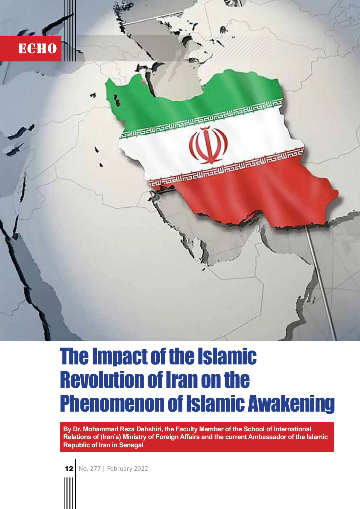

## The Impact of the Islamic Revolution of Iran on the Phenomenon of Islamic Awakening

By Dr. Mohammad Reza Dehshiri, the Faculty Member of the School of International Relations of (Iran's) Ministry of Foreign Affairs and the current Ambassador of the Islamic Republic of Iran in Senegal

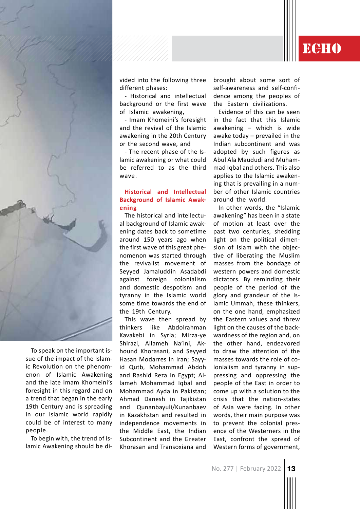

To speak on the important issue of the impact of the Islamic Revolution on the phenomenon of Islamic Awakening and the late Imam Khomeini's foresight in this regard and on a trend that began in the early 19th Century and is spreading in our Islamic world rapidly could be of interest to many people.

To begin with, the trend of Islamic Awakening should be divided into the following three different phases:

- Historical and intellectual background or the first wave of Islamic awakening,

- Imam Khomeini's foresight and the revival of the Islamic awakening in the 20th Century or the second wave, and

- The recent phase of the Islamic awakening or what could be referred to as the third wave.

## **Historical and Intellectual Background of Islamic Awak**ening

The historical and intellectual background of Islamic awakening dates back to sometime around 150 years ago when the first wave of this great phenomenon was started through the revivalist movement of Seyyed Jamaluddin Asadabdi against foreign colonialism and domestic despotism and tyranny in the Islamic world some time towards the end of the 19th Century.

This wave then spread by thinkers like Abdolrahman Kavakebi in Syria; Mirza-ye Shirazi, Allameh Na'ini, Akhound Khorasani, and Seyyed Hasan Modarres in Iran; Sayyid Qutb, Mohammad Abdoh and Rashid Reza in Egypt; Allameh Mohammad Iqbal and Mohammad Ayda in Pakistan; Ahmad Danesh in Tajikistan and Qunanbayuli/Kunanbaev in Kazakhstan and resulted in independence movements in the Middle East, the Indian Subcontinent and the Greater Khorasan and Transoxiana and brought about some sort of self-awareness and self-confidence among the peoples of the Eastern civilizations.

**ECHO** 

Evidence of this can be seen in the fact that this Islamic awakening – which is wide awake today – prevailed in the Indian subcontinent and was adopted by such figures as Abul Ala Maududi and Muhammad Iqbal and others. This also applies to the Islamic awakening that is prevailing in a number of other Islamic countries around the world.

In other words, the "Islamic awakening" has been in a state of motion at least over the past two centuries, shedding light on the political dimension of Islam with the objective of liberating the Muslim masses from the bondage of western powers and domestic dictators. By reminding their people of the period of the glory and grandeur of the Islamic Ummah, these thinkers, on the one hand, emphasized the Eastern values and threw light on the causes of the backwardness of the region and, on the other hand, endeavored to draw the attention of the masses towards the role of colonialism and tyranny in suppressing and oppressing the people of the East in order to come up with a solution to the crisis that the nation-states of Asia were facing. In other words, their main purpose was to prevent the colonial presence of the Westerners in the East, confront the spread of Western forms of government,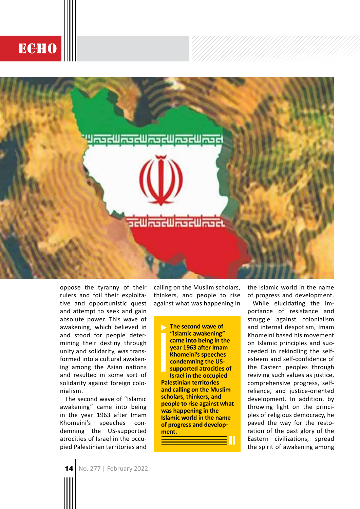## **ECHO**



oppose the tyranny of their rulers and foil their exploitative and opportunistic quest and attempt to seek and gain absolute power. This wave of awakening, which believed in and stood for people determining their destiny through unity and solidarity, was transformed into a cultural awakening among the Asian nations and resulted in some sort of solidarity against foreign colonialism.

The second wave of "Islamic awakening" came into being in the year 1963 after Imam Khomeini's speeches condemning the US-supported atrocities of Israel in the occupied Palestinian territories and calling on the Muslim scholars, thinkers, and people to rise against what was happening in

The second wave of "Islamic awakening" came into being in the year 1963 after Imam **Khomeini's speeches** condemning the USsupported atrocities of **Israel in the occupied Palestinian territories** and calling on the Muslim scholars, thinkers, and people to rise against what was happening in the **Islamic world in the name** of progress and development.

the Islamic world in the name of progress and development.

While elucidating the importance of resistance and struggle against colonialism and internal despotism, Imam Khomeini based his movement on Islamic principles and succeeded in rekindling the selfesteem and self-confidence of the Eastern peoples through reviving such values as justice, comprehensive progress, selfreliance, and justice-oriented development. In addition, by throwing light on the principles of religious democracy, he paved the way for the restoration of the past glory of the Eastern civilizations, spread the spirit of awakening among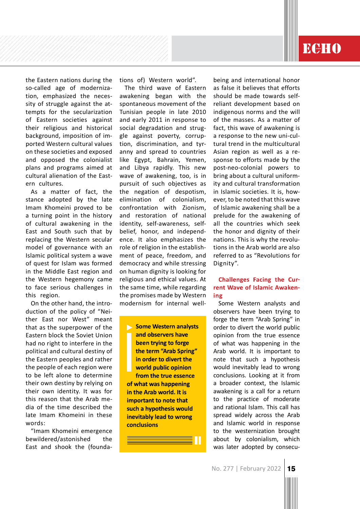the Eastern nations during the so-called age of modernization, emphasized the necessity of struggle against the attempts for the secularization of Eastern societies against their religious and historical background, imposition of imported Western cultural values on these societies and exposed and opposed the colonialist plans and programs aimed at cultural alienation of the Eastern cultures.

As a matter of fact, the stance adopted by the late Imam Khomeini proved to be a turning point in the history of cultural awakening in the East and South such that by replacing the Western secular model of governance with an Islamic political system a wave of quest for Islam was formed in the Middle East region and the Western hegemony came to face serious challenges in this region.

On the other hand, the introduction of the policy of "Neither East nor West" meant that as the superpower of the Eastern block the Soviet Union had no right to interfere in the political and cultural destiny of the Eastern peoples and rather the people of each region were to be left alone to determine their own destiny by relying on their own identity. It was for this reason that the Arab media of the time described the late Imam Khomeini in these words:

"Imam Khomeini emergence bewildered/astonished the East and shook the (foundations of) Western world".

The third wave of Eastern awakening began with the spontaneous movement of the Tunisian people in late 2010 and early 2011 in response to social degradation and struggle against poverty, corruption, discrimination, and tyranny and spread to countries like Egypt, Bahrain, Yemen, and Libya rapidly. This new wave of awakening, too, is in pursuit of such objectives as the negation of despotism, elimination of colonialism, confrontation with Zionism, and restoration of national identity, self-awareness, selfbelief, honor, and independence. It also emphasizes the role of religion in the establishment of peace, freedom, and democracy and while stressing on human dignity is looking for religious and ethical values. At the same time, while regarding the promises made by Western modernism for internal well-

**Some Western analysts** and observers have been trying to forge the term "Arab Spring" in order to divert the world public opinion from the true essence of what was happening in the Arab world. It is important to note that such a hypothesis would inevitably lead to wrong conclusions

as false it believes that efforts should be made towards selfreliant development based on indigenous norms and the will of the masses. As a matter of fact, this wave of awakening is a response to the new uni-cultural trend in the multicultural Asian region as well as a response to efforts made by the post-neo-colonial powers to bring about a cultural uniformity and cultural transformation in Islamic societies. It is, however, to be noted that this wave of Islamic awakening shall be a prelude for the awakening of all the countries which seek the honor and dignity of their nations. This is why the revolutions in the Arab world are also referred to as "Revolutions for Dignity".

being and international honor

**ECHO** 

## **Challenges Facing the Cur**rent Wave of Islamic Awakening

Some Western analysts and observers have been trying to forge the term "Arab Spring" in order to divert the world public opinion from the true essence of what was happening in the Arab world. It is important to note that such a hypothesis would inevitably lead to wrong conclusions. Looking at it from a broader context, the Islamic awakening is a call for a return to the practice of moderate and rational Islam. This call has spread widely across the Arab and Islamic world in response to the westernization brought about by colonialism, which was later adopted by consecu